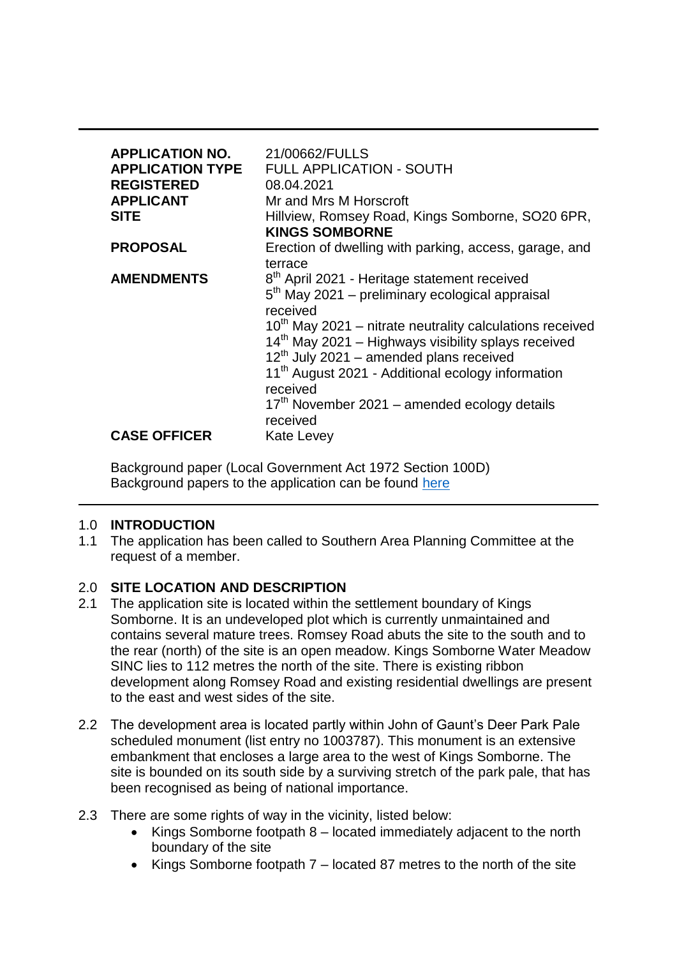| <b>APPLICATION NO.</b><br><b>APPLICATION TYPE</b><br><b>REGISTERED</b><br><b>APPLICANT</b><br><b>SITE</b> | 21/00662/FULLS<br>FULL APPLICATION - SOUTH<br>08.04.2021<br>Mr and Mrs M Horscroft<br>Hillview, Romsey Road, Kings Somborne, SO20 6PR,<br><b>KINGS SOMBORNE</b>                                                                             |
|-----------------------------------------------------------------------------------------------------------|---------------------------------------------------------------------------------------------------------------------------------------------------------------------------------------------------------------------------------------------|
| <b>PROPOSAL</b>                                                                                           | Erection of dwelling with parking, access, garage, and                                                                                                                                                                                      |
| <b>AMENDMENTS</b>                                                                                         | terrace<br>8 <sup>th</sup> April 2021 - Heritage statement received<br>$5th$ May 2021 – preliminary ecological appraisal<br>received                                                                                                        |
|                                                                                                           | $10th$ May 2021 – nitrate neutrality calculations received<br>14 <sup>th</sup> May 2021 - Highways visibility splays received<br>$12th$ July 2021 – amended plans received<br>11 <sup>th</sup> August 2021 - Additional ecology information |
|                                                                                                           | received<br>$17th$ November 2021 – amended ecology details<br>received                                                                                                                                                                      |
| <b>CASE OFFICER</b>                                                                                       | Kate Levey                                                                                                                                                                                                                                  |

Background paper (Local Government Act 1972 Section 100D) Background papers to the application can be found [here](https://view-applications.testvalley.gov.uk/online-applications/simpleSearchResults.do?action=firstPage)

## 1.0 **INTRODUCTION**

1.1 The application has been called to Southern Area Planning Committee at the request of a member.

# 2.0 **SITE LOCATION AND DESCRIPTION**

- 2.1 The application site is located within the settlement boundary of Kings Somborne. It is an undeveloped plot which is currently unmaintained and contains several mature trees. Romsey Road abuts the site to the south and to the rear (north) of the site is an open meadow. Kings Somborne Water Meadow SINC lies to 112 metres the north of the site. There is existing ribbon development along Romsey Road and existing residential dwellings are present to the east and west sides of the site.
- 2.2 The development area is located partly within John of Gaunt's Deer Park Pale scheduled monument (list entry no 1003787). This monument is an extensive embankment that encloses a large area to the west of Kings Somborne. The site is bounded on its south side by a surviving stretch of the park pale, that has been recognised as being of national importance.
- 2.3 There are some rights of way in the vicinity, listed below:
	- Kings Somborne footpath 8 located immediately adjacent to the north boundary of the site
	- Kings Somborne footpath 7 located 87 metres to the north of the site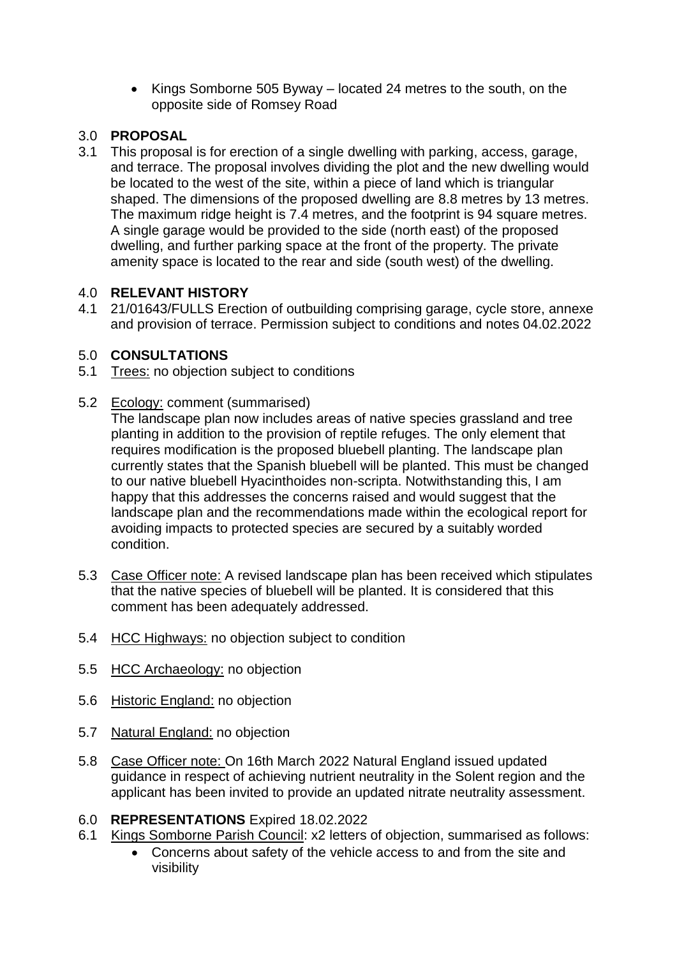• Kings Somborne 505 Byway – located 24 metres to the south, on the opposite side of Romsey Road

# 3.0 **PROPOSAL**

3.1 This proposal is for erection of a single dwelling with parking, access, garage, and terrace. The proposal involves dividing the plot and the new dwelling would be located to the west of the site, within a piece of land which is triangular shaped. The dimensions of the proposed dwelling are 8.8 metres by 13 metres. The maximum ridge height is 7.4 metres, and the footprint is 94 square metres. A single garage would be provided to the side (north east) of the proposed dwelling, and further parking space at the front of the property. The private amenity space is located to the rear and side (south west) of the dwelling.

# 4.0 **RELEVANT HISTORY**

4.1 21/01643/FULLS Erection of outbuilding comprising garage, cycle store, annexe and provision of terrace. Permission subject to conditions and notes 04.02.2022

# 5.0 **CONSULTATIONS**

5.1 Trees: no objection subject to conditions

# 5.2 Ecology: comment (summarised)

The landscape plan now includes areas of native species grassland and tree planting in addition to the provision of reptile refuges. The only element that requires modification is the proposed bluebell planting. The landscape plan currently states that the Spanish bluebell will be planted. This must be changed to our native bluebell Hyacinthoides non-scripta. Notwithstanding this, I am happy that this addresses the concerns raised and would suggest that the landscape plan and the recommendations made within the ecological report for avoiding impacts to protected species are secured by a suitably worded condition.

- 5.3 Case Officer note: A revised landscape plan has been received which stipulates that the native species of bluebell will be planted. It is considered that this comment has been adequately addressed.
- 5.4 HCC Highways: no objection subject to condition
- 5.5 HCC Archaeology: no objection
- 5.6 Historic England: no objection
- 5.7 Natural **England**: no objection
- 5.8 Case Officer note: On 16th March 2022 Natural England issued updated guidance in respect of achieving nutrient neutrality in the Solent region and the applicant has been invited to provide an updated nitrate neutrality assessment.
- 6.0 **REPRESENTATIONS** Expired 18.02.2022
- 6.1 Kings Somborne Parish Council: x2 letters of objection, summarised as follows:
	- Concerns about safety of the vehicle access to and from the site and visibility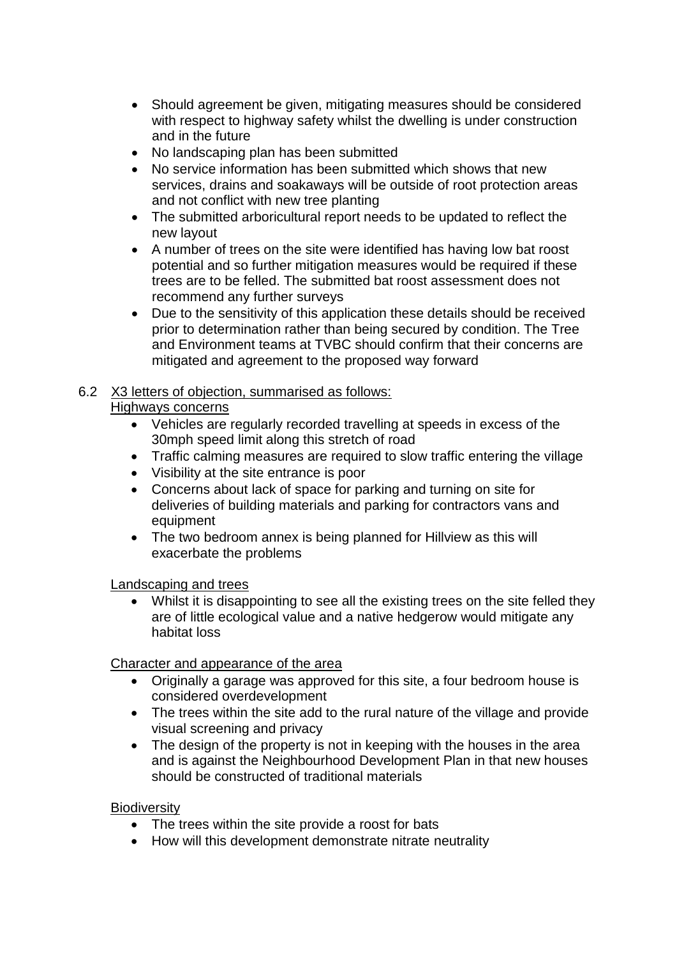- Should agreement be given, mitigating measures should be considered with respect to highway safety whilst the dwelling is under construction and in the future
- No landscaping plan has been submitted
- No service information has been submitted which shows that new services, drains and soakaways will be outside of root protection areas and not conflict with new tree planting
- The submitted arboricultural report needs to be updated to reflect the new layout
- A number of trees on the site were identified has having low bat roost potential and so further mitigation measures would be required if these trees are to be felled. The submitted bat roost assessment does not recommend any further surveys
- Due to the sensitivity of this application these details should be received prior to determination rather than being secured by condition. The Tree and Environment teams at TVBC should confirm that their concerns are mitigated and agreement to the proposed way forward

# 6.2 X3 letters of objection, summarised as follows:

## Highways concerns

- Vehicles are regularly recorded travelling at speeds in excess of the 30mph speed limit along this stretch of road
- Traffic calming measures are required to slow traffic entering the village
- Visibility at the site entrance is poor
- Concerns about lack of space for parking and turning on site for deliveries of building materials and parking for contractors vans and equipment
- The two bedroom annex is being planned for Hillview as this will exacerbate the problems

## Landscaping and trees

 Whilst it is disappointing to see all the existing trees on the site felled they are of little ecological value and a native hedgerow would mitigate any habitat loss

## Character and appearance of the area

- Originally a garage was approved for this site, a four bedroom house is considered overdevelopment
- The trees within the site add to the rural nature of the village and provide visual screening and privacy
- The design of the property is not in keeping with the houses in the area and is against the Neighbourhood Development Plan in that new houses should be constructed of traditional materials

## **Biodiversity**

- The trees within the site provide a roost for bats
- How will this development demonstrate nitrate neutrality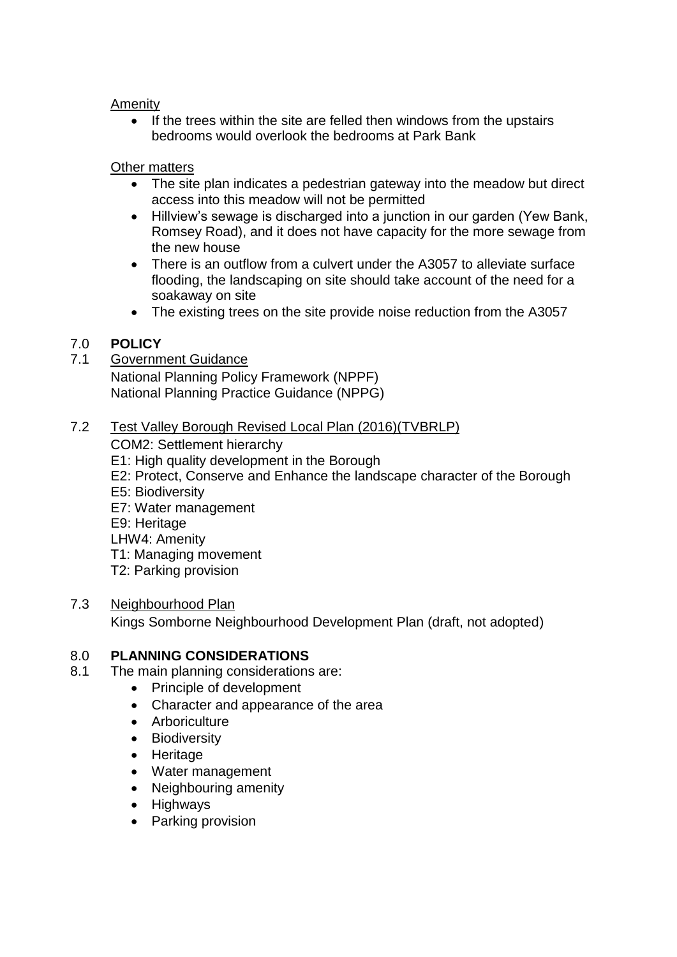#### Amenity

• If the trees within the site are felled then windows from the upstairs bedrooms would overlook the bedrooms at Park Bank

## Other matters

- The site plan indicates a pedestrian gateway into the meadow but direct access into this meadow will not be permitted
- Hillview's sewage is discharged into a junction in our garden (Yew Bank, Romsey Road), and it does not have capacity for the more sewage from the new house
- There is an outflow from a culvert under the A3057 to alleviate surface flooding, the landscaping on site should take account of the need for a soakaway on site
- The existing trees on the site provide noise reduction from the A3057

## 7.0 **POLICY**

#### 7.1 Government Guidance

National Planning Policy Framework (NPPF) National Planning Practice Guidance (NPPG)

## 7.2 Test Valley Borough Revised Local Plan (2016)(TVBRLP)

COM2: Settlement hierarchy

- E1: High quality development in the Borough
- E2: Protect, Conserve and Enhance the landscape character of the Borough
- E5: Biodiversity
- E7: Water management
- E9: Heritage
- LHW4: Amenity
- T1: Managing movement
- T2: Parking provision

## 7.3 Neighbourhood Plan

Kings Somborne Neighbourhood Development Plan (draft, not adopted)

## 8.0 **PLANNING CONSIDERATIONS**

- 8.1 The main planning considerations are:
	- Principle of development
	- Character and appearance of the area
	- Arboriculture
	- Biodiversity
	- Heritage
	- Water management
	- Neighbouring amenity
	- Highways
	- Parking provision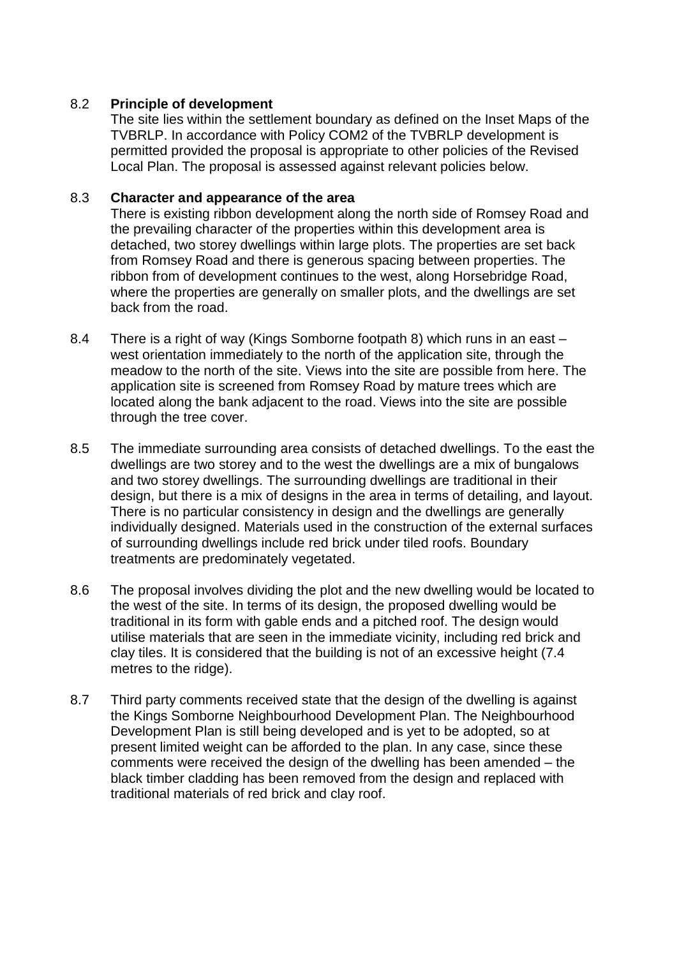## 8.2 **Principle of development**

The site lies within the settlement boundary as defined on the Inset Maps of the TVBRLP. In accordance with Policy COM2 of the TVBRLP development is permitted provided the proposal is appropriate to other policies of the Revised Local Plan. The proposal is assessed against relevant policies below.

## 8.3 **Character and appearance of the area**

There is existing ribbon development along the north side of Romsey Road and the prevailing character of the properties within this development area is detached, two storey dwellings within large plots. The properties are set back from Romsey Road and there is generous spacing between properties. The ribbon from of development continues to the west, along Horsebridge Road, where the properties are generally on smaller plots, and the dwellings are set back from the road.

- 8.4 There is a right of way (Kings Somborne footpath 8) which runs in an east west orientation immediately to the north of the application site, through the meadow to the north of the site. Views into the site are possible from here. The application site is screened from Romsey Road by mature trees which are located along the bank adjacent to the road. Views into the site are possible through the tree cover.
- 8.5 The immediate surrounding area consists of detached dwellings. To the east the dwellings are two storey and to the west the dwellings are a mix of bungalows and two storey dwellings. The surrounding dwellings are traditional in their design, but there is a mix of designs in the area in terms of detailing, and layout. There is no particular consistency in design and the dwellings are generally individually designed. Materials used in the construction of the external surfaces of surrounding dwellings include red brick under tiled roofs. Boundary treatments are predominately vegetated.
- 8.6 The proposal involves dividing the plot and the new dwelling would be located to the west of the site. In terms of its design, the proposed dwelling would be traditional in its form with gable ends and a pitched roof. The design would utilise materials that are seen in the immediate vicinity, including red brick and clay tiles. It is considered that the building is not of an excessive height (7.4 metres to the ridge).
- 8.7 Third party comments received state that the design of the dwelling is against the Kings Somborne Neighbourhood Development Plan. The Neighbourhood Development Plan is still being developed and is yet to be adopted, so at present limited weight can be afforded to the plan. In any case, since these comments were received the design of the dwelling has been amended – the black timber cladding has been removed from the design and replaced with traditional materials of red brick and clay roof.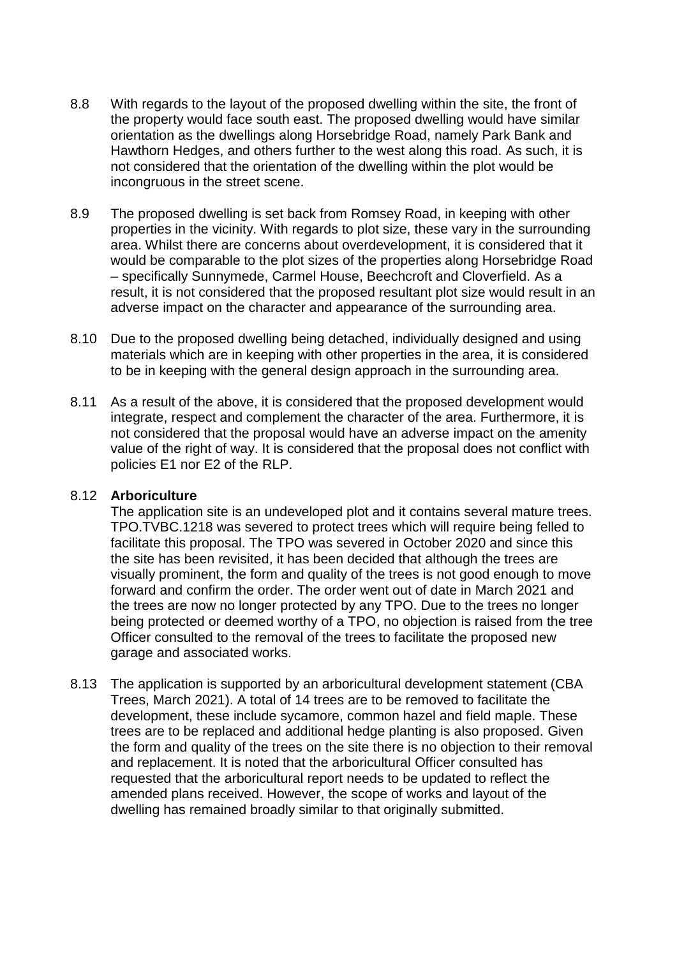- 8.8 With regards to the layout of the proposed dwelling within the site, the front of the property would face south east. The proposed dwelling would have similar orientation as the dwellings along Horsebridge Road, namely Park Bank and Hawthorn Hedges, and others further to the west along this road. As such, it is not considered that the orientation of the dwelling within the plot would be incongruous in the street scene.
- 8.9 The proposed dwelling is set back from Romsey Road, in keeping with other properties in the vicinity. With regards to plot size, these vary in the surrounding area. Whilst there are concerns about overdevelopment, it is considered that it would be comparable to the plot sizes of the properties along Horsebridge Road – specifically Sunnymede, Carmel House, Beechcroft and Cloverfield. As a result, it is not considered that the proposed resultant plot size would result in an adverse impact on the character and appearance of the surrounding area.
- 8.10 Due to the proposed dwelling being detached, individually designed and using materials which are in keeping with other properties in the area, it is considered to be in keeping with the general design approach in the surrounding area.
- 8.11 As a result of the above, it is considered that the proposed development would integrate, respect and complement the character of the area. Furthermore, it is not considered that the proposal would have an adverse impact on the amenity value of the right of way. It is considered that the proposal does not conflict with policies E1 nor E2 of the RLP.

#### 8.12 **Arboriculture**

The application site is an undeveloped plot and it contains several mature trees. TPO.TVBC.1218 was severed to protect trees which will require being felled to facilitate this proposal. The TPO was severed in October 2020 and since this the site has been revisited, it has been decided that although the trees are visually prominent, the form and quality of the trees is not good enough to move forward and confirm the order. The order went out of date in March 2021 and the trees are now no longer protected by any TPO. Due to the trees no longer being protected or deemed worthy of a TPO, no objection is raised from the tree Officer consulted to the removal of the trees to facilitate the proposed new garage and associated works.

8.13 The application is supported by an arboricultural development statement (CBA Trees, March 2021). A total of 14 trees are to be removed to facilitate the development, these include sycamore, common hazel and field maple. These trees are to be replaced and additional hedge planting is also proposed. Given the form and quality of the trees on the site there is no objection to their removal and replacement. It is noted that the arboricultural Officer consulted has requested that the arboricultural report needs to be updated to reflect the amended plans received. However, the scope of works and layout of the dwelling has remained broadly similar to that originally submitted.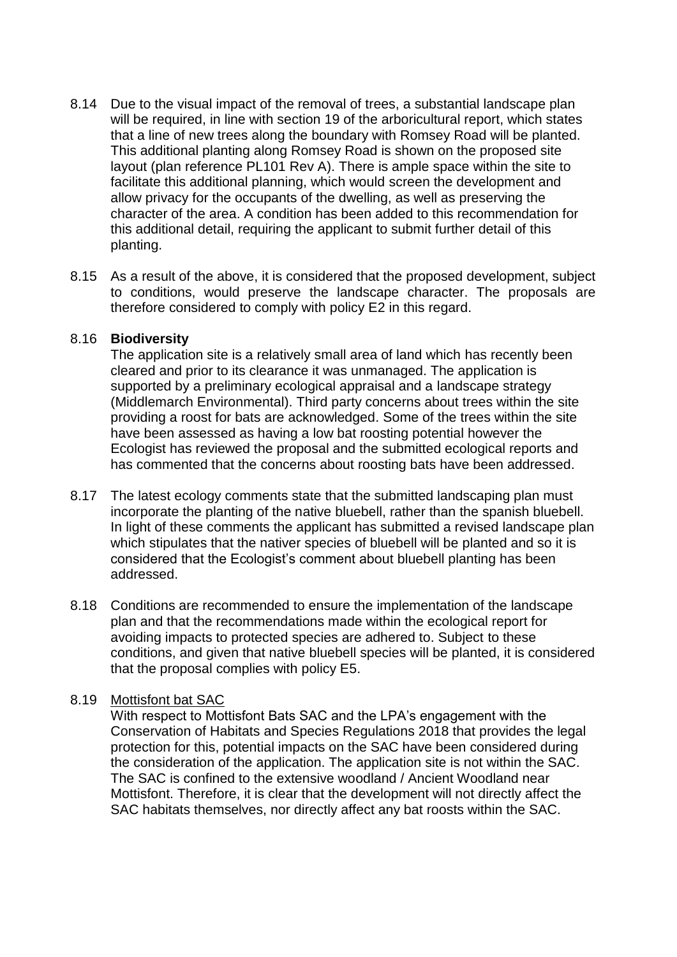- 8.14 Due to the visual impact of the removal of trees, a substantial landscape plan will be required, in line with section 19 of the arboricultural report, which states that a line of new trees along the boundary with Romsey Road will be planted. This additional planting along Romsey Road is shown on the proposed site layout (plan reference PL101 Rev A). There is ample space within the site to facilitate this additional planning, which would screen the development and allow privacy for the occupants of the dwelling, as well as preserving the character of the area. A condition has been added to this recommendation for this additional detail, requiring the applicant to submit further detail of this planting.
- 8.15 As a result of the above, it is considered that the proposed development, subject to conditions, would preserve the landscape character. The proposals are therefore considered to comply with policy E2 in this regard.

#### 8.16 **Biodiversity**

The application site is a relatively small area of land which has recently been cleared and prior to its clearance it was unmanaged. The application is supported by a preliminary ecological appraisal and a landscape strategy (Middlemarch Environmental). Third party concerns about trees within the site providing a roost for bats are acknowledged. Some of the trees within the site have been assessed as having a low bat roosting potential however the Ecologist has reviewed the proposal and the submitted ecological reports and has commented that the concerns about roosting bats have been addressed.

- 8.17 The latest ecology comments state that the submitted landscaping plan must incorporate the planting of the native bluebell, rather than the spanish bluebell. In light of these comments the applicant has submitted a revised landscape plan which stipulates that the nativer species of bluebell will be planted and so it is considered that the Ecologist's comment about bluebell planting has been addressed.
- 8.18 Conditions are recommended to ensure the implementation of the landscape plan and that the recommendations made within the ecological report for avoiding impacts to protected species are adhered to. Subject to these conditions, and given that native bluebell species will be planted, it is considered that the proposal complies with policy E5.

## 8.19 Mottisfont bat SAC

With respect to Mottisfont Bats SAC and the LPA's engagement with the Conservation of Habitats and Species Regulations 2018 that provides the legal protection for this, potential impacts on the SAC have been considered during the consideration of the application. The application site is not within the SAC. The SAC is confined to the extensive woodland / Ancient Woodland near Mottisfont. Therefore, it is clear that the development will not directly affect the SAC habitats themselves, nor directly affect any bat roosts within the SAC.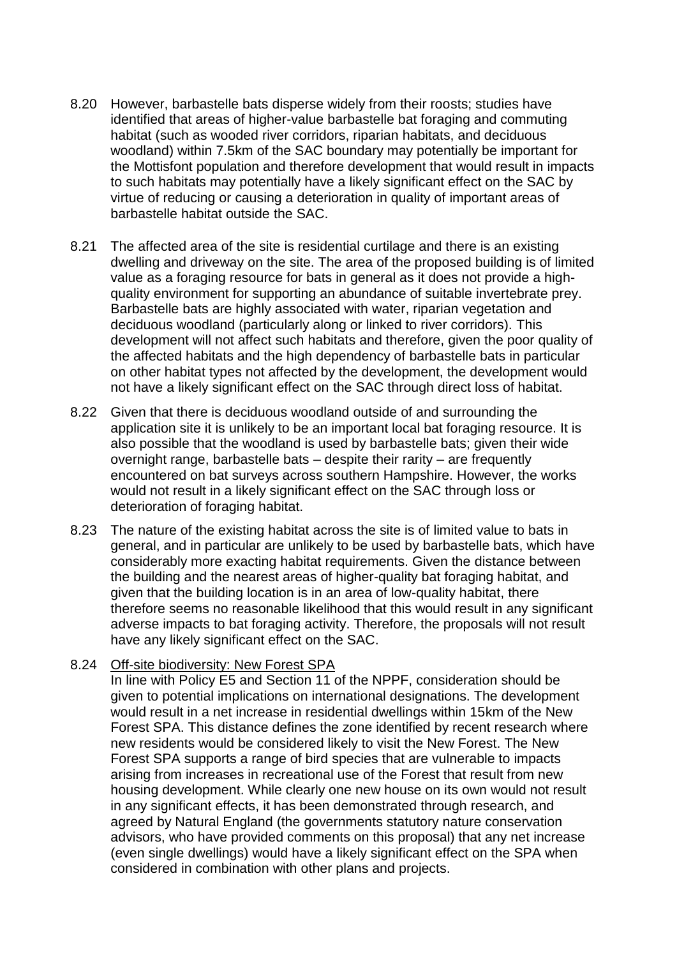- 8.20 However, barbastelle bats disperse widely from their roosts; studies have identified that areas of higher-value barbastelle bat foraging and commuting habitat (such as wooded river corridors, riparian habitats, and deciduous woodland) within 7.5km of the SAC boundary may potentially be important for the Mottisfont population and therefore development that would result in impacts to such habitats may potentially have a likely significant effect on the SAC by virtue of reducing or causing a deterioration in quality of important areas of barbastelle habitat outside the SAC.
- 8.21 The affected area of the site is residential curtilage and there is an existing dwelling and driveway on the site. The area of the proposed building is of limited value as a foraging resource for bats in general as it does not provide a highquality environment for supporting an abundance of suitable invertebrate prey. Barbastelle bats are highly associated with water, riparian vegetation and deciduous woodland (particularly along or linked to river corridors). This development will not affect such habitats and therefore, given the poor quality of the affected habitats and the high dependency of barbastelle bats in particular on other habitat types not affected by the development, the development would not have a likely significant effect on the SAC through direct loss of habitat.
- 8.22 Given that there is deciduous woodland outside of and surrounding the application site it is unlikely to be an important local bat foraging resource. It is also possible that the woodland is used by barbastelle bats; given their wide overnight range, barbastelle bats – despite their rarity – are frequently encountered on bat surveys across southern Hampshire. However, the works would not result in a likely significant effect on the SAC through loss or deterioration of foraging habitat.
- 8.23 The nature of the existing habitat across the site is of limited value to bats in general, and in particular are unlikely to be used by barbastelle bats, which have considerably more exacting habitat requirements. Given the distance between the building and the nearest areas of higher-quality bat foraging habitat, and given that the building location is in an area of low-quality habitat, there therefore seems no reasonable likelihood that this would result in any significant adverse impacts to bat foraging activity. Therefore, the proposals will not result have any likely significant effect on the SAC.

#### 8.24 Off-site biodiversity: New Forest SPA

In line with Policy E5 and Section 11 of the NPPF, consideration should be given to potential implications on international designations. The development would result in a net increase in residential dwellings within 15km of the New Forest SPA. This distance defines the zone identified by recent research where new residents would be considered likely to visit the New Forest. The New Forest SPA supports a range of bird species that are vulnerable to impacts arising from increases in recreational use of the Forest that result from new housing development. While clearly one new house on its own would not result in any significant effects, it has been demonstrated through research, and agreed by Natural England (the governments statutory nature conservation advisors, who have provided comments on this proposal) that any net increase (even single dwellings) would have a likely significant effect on the SPA when considered in combination with other plans and projects.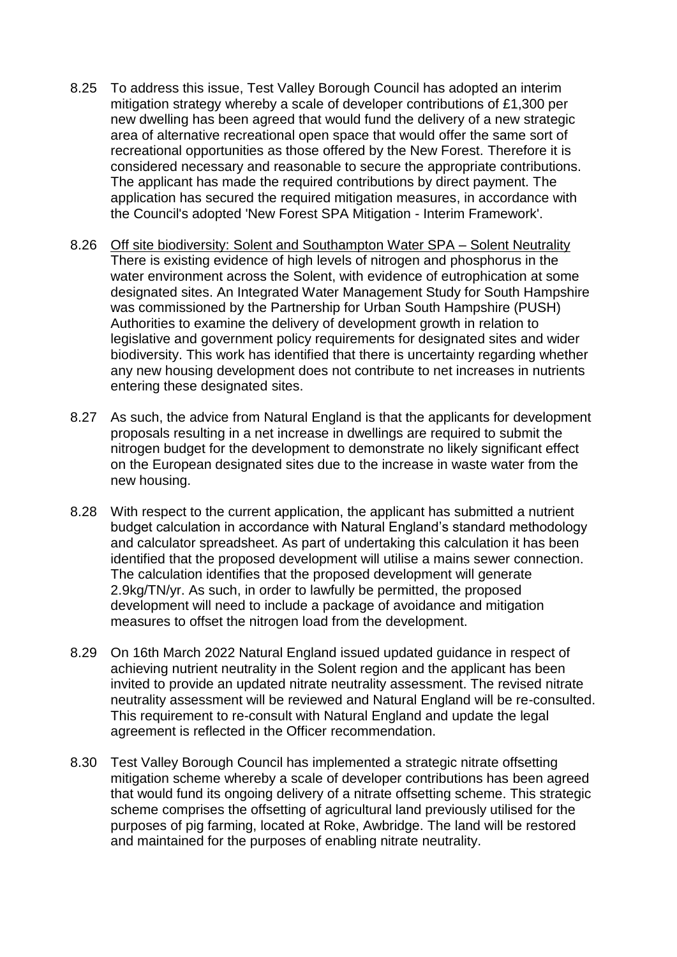- 8.25 To address this issue, Test Valley Borough Council has adopted an interim mitigation strategy whereby a scale of developer contributions of £1,300 per new dwelling has been agreed that would fund the delivery of a new strategic area of alternative recreational open space that would offer the same sort of recreational opportunities as those offered by the New Forest. Therefore it is considered necessary and reasonable to secure the appropriate contributions. The applicant has made the required contributions by direct payment. The application has secured the required mitigation measures, in accordance with the Council's adopted 'New Forest SPA Mitigation - Interim Framework'.
- 8.26 Off site biodiversity: Solent and Southampton Water SPA Solent Neutrality There is existing evidence of high levels of nitrogen and phosphorus in the water environment across the Solent, with evidence of eutrophication at some designated sites. An Integrated Water Management Study for South Hampshire was commissioned by the Partnership for Urban South Hampshire (PUSH) Authorities to examine the delivery of development growth in relation to legislative and government policy requirements for designated sites and wider biodiversity. This work has identified that there is uncertainty regarding whether any new housing development does not contribute to net increases in nutrients entering these designated sites.
- 8.27 As such, the advice from Natural England is that the applicants for development proposals resulting in a net increase in dwellings are required to submit the nitrogen budget for the development to demonstrate no likely significant effect on the European designated sites due to the increase in waste water from the new housing.
- 8.28 With respect to the current application, the applicant has submitted a nutrient budget calculation in accordance with Natural England's standard methodology and calculator spreadsheet. As part of undertaking this calculation it has been identified that the proposed development will utilise a mains sewer connection. The calculation identifies that the proposed development will generate 2.9kg/TN/yr. As such, in order to lawfully be permitted, the proposed development will need to include a package of avoidance and mitigation measures to offset the nitrogen load from the development.
- 8.29 On 16th March 2022 Natural England issued updated guidance in respect of achieving nutrient neutrality in the Solent region and the applicant has been invited to provide an updated nitrate neutrality assessment. The revised nitrate neutrality assessment will be reviewed and Natural England will be re-consulted. This requirement to re-consult with Natural England and update the legal agreement is reflected in the Officer recommendation.
- 8.30 Test Valley Borough Council has implemented a strategic nitrate offsetting mitigation scheme whereby a scale of developer contributions has been agreed that would fund its ongoing delivery of a nitrate offsetting scheme. This strategic scheme comprises the offsetting of agricultural land previously utilised for the purposes of pig farming, located at Roke, Awbridge. The land will be restored and maintained for the purposes of enabling nitrate neutrality.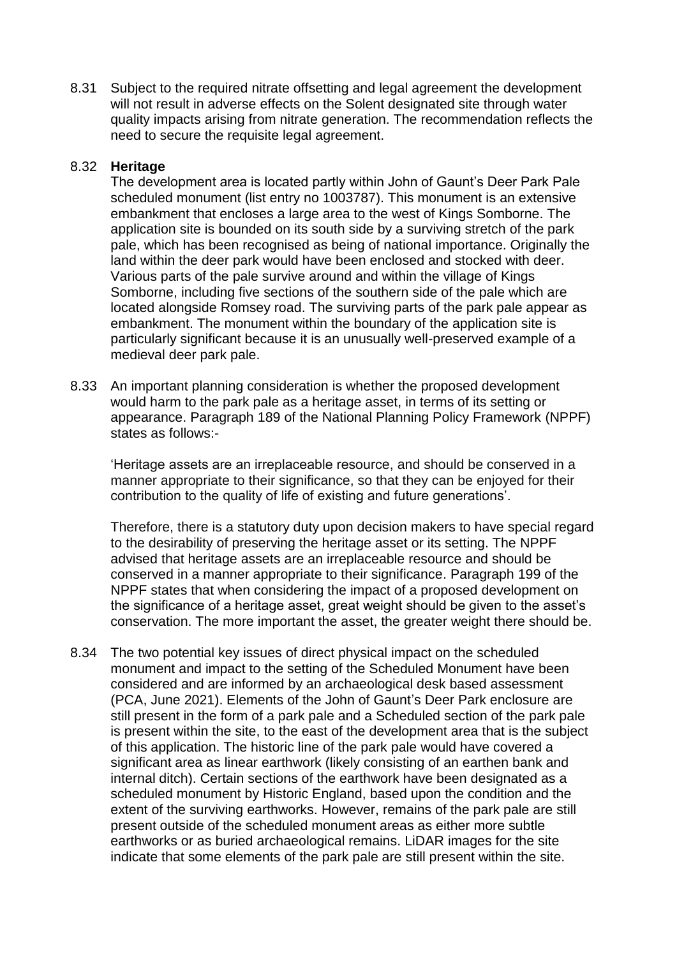8.31 Subject to the required nitrate offsetting and legal agreement the development will not result in adverse effects on the Solent designated site through water quality impacts arising from nitrate generation. The recommendation reflects the need to secure the requisite legal agreement.

#### 8.32 **Heritage**

The development area is located partly within John of Gaunt's Deer Park Pale scheduled monument (list entry no 1003787). This monument is an extensive embankment that encloses a large area to the west of Kings Somborne. The application site is bounded on its south side by a surviving stretch of the park pale, which has been recognised as being of national importance. Originally the land within the deer park would have been enclosed and stocked with deer. Various parts of the pale survive around and within the village of Kings Somborne, including five sections of the southern side of the pale which are located alongside Romsey road. The surviving parts of the park pale appear as embankment. The monument within the boundary of the application site is particularly significant because it is an unusually well-preserved example of a medieval deer park pale.

8.33 An important planning consideration is whether the proposed development would harm to the park pale as a heritage asset, in terms of its setting or appearance. Paragraph 189 of the National Planning Policy Framework (NPPF) states as follows:-

'Heritage assets are an irreplaceable resource, and should be conserved in a manner appropriate to their significance, so that they can be enjoyed for their contribution to the quality of life of existing and future generations'.

Therefore, there is a statutory duty upon decision makers to have special regard to the desirability of preserving the heritage asset or its setting. The NPPF advised that heritage assets are an irreplaceable resource and should be conserved in a manner appropriate to their significance. Paragraph 199 of the NPPF states that when considering the impact of a proposed development on the significance of a heritage asset, great weight should be given to the asset's conservation. The more important the asset, the greater weight there should be.

8.34 The two potential key issues of direct physical impact on the scheduled monument and impact to the setting of the Scheduled Monument have been considered and are informed by an archaeological desk based assessment (PCA, June 2021). Elements of the John of Gaunt's Deer Park enclosure are still present in the form of a park pale and a Scheduled section of the park pale is present within the site, to the east of the development area that is the subject of this application. The historic line of the park pale would have covered a significant area as linear earthwork (likely consisting of an earthen bank and internal ditch). Certain sections of the earthwork have been designated as a scheduled monument by Historic England, based upon the condition and the extent of the surviving earthworks. However, remains of the park pale are still present outside of the scheduled monument areas as either more subtle earthworks or as buried archaeological remains. LiDAR images for the site indicate that some elements of the park pale are still present within the site.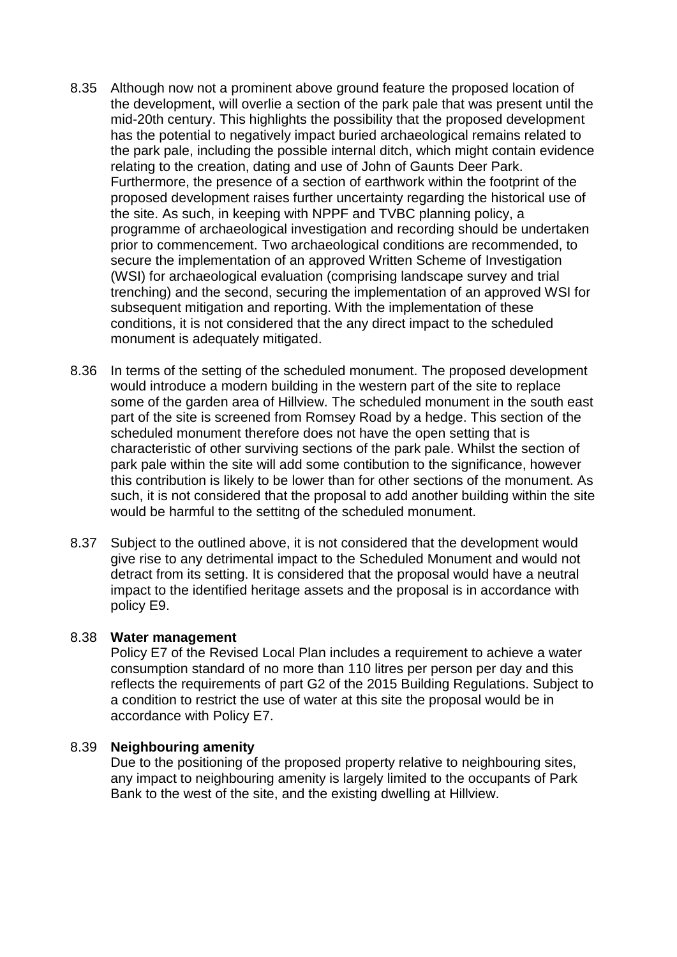- 8.35 Although now not a prominent above ground feature the proposed location of the development, will overlie a section of the park pale that was present until the mid-20th century. This highlights the possibility that the proposed development has the potential to negatively impact buried archaeological remains related to the park pale, including the possible internal ditch, which might contain evidence relating to the creation, dating and use of John of Gaunts Deer Park. Furthermore, the presence of a section of earthwork within the footprint of the proposed development raises further uncertainty regarding the historical use of the site. As such, in keeping with NPPF and TVBC planning policy, a programme of archaeological investigation and recording should be undertaken prior to commencement. Two archaeological conditions are recommended, to secure the implementation of an approved Written Scheme of Investigation (WSI) for archaeological evaluation (comprising landscape survey and trial trenching) and the second, securing the implementation of an approved WSI for subsequent mitigation and reporting. With the implementation of these conditions, it is not considered that the any direct impact to the scheduled monument is adequately mitigated.
- 8.36 In terms of the setting of the scheduled monument. The proposed development would introduce a modern building in the western part of the site to replace some of the garden area of Hillview. The scheduled monument in the south east part of the site is screened from Romsey Road by a hedge. This section of the scheduled monument therefore does not have the open setting that is characteristic of other surviving sections of the park pale. Whilst the section of park pale within the site will add some contibution to the significance, however this contribution is likely to be lower than for other sections of the monument. As such, it is not considered that the proposal to add another building within the site would be harmful to the settitng of the scheduled monument.
- 8.37 Subject to the outlined above, it is not considered that the development would give rise to any detrimental impact to the Scheduled Monument and would not detract from its setting. It is considered that the proposal would have a neutral impact to the identified heritage assets and the proposal is in accordance with policy E9.

#### 8.38 **Water management**

Policy E7 of the Revised Local Plan includes a requirement to achieve a water consumption standard of no more than 110 litres per person per day and this reflects the requirements of part G2 of the 2015 Building Regulations. Subject to a condition to restrict the use of water at this site the proposal would be in accordance with Policy E7.

#### 8.39 **Neighbouring amenity**

Due to the positioning of the proposed property relative to neighbouring sites, any impact to neighbouring amenity is largely limited to the occupants of Park Bank to the west of the site, and the existing dwelling at Hillview.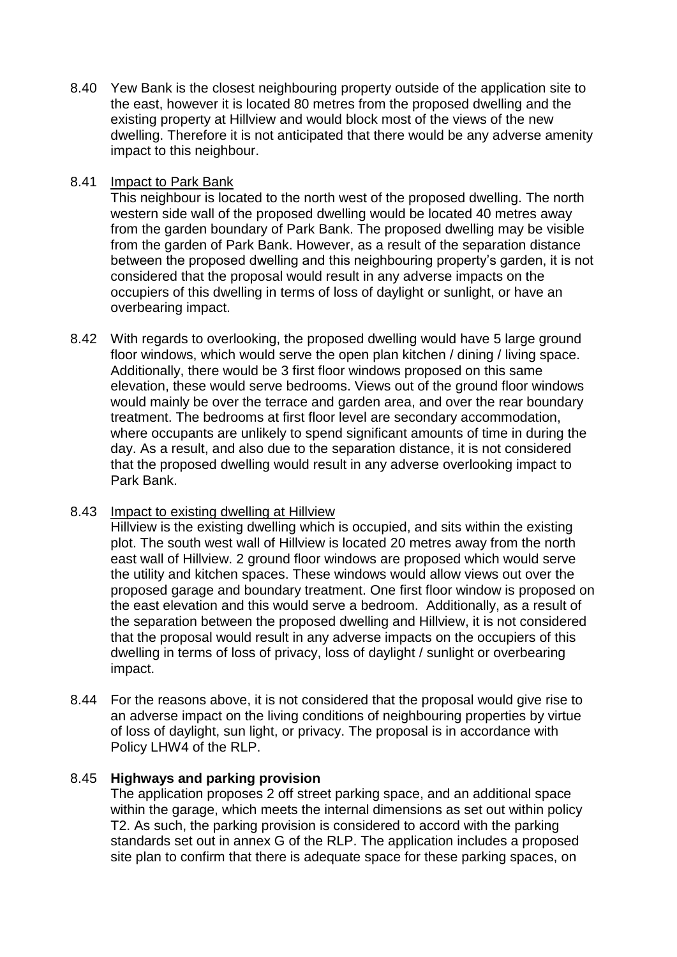8.40 Yew Bank is the closest neighbouring property outside of the application site to the east, however it is located 80 metres from the proposed dwelling and the existing property at Hillview and would block most of the views of the new dwelling. Therefore it is not anticipated that there would be any adverse amenity impact to this neighbour.

#### 8.41 Impact to Park Bank

This neighbour is located to the north west of the proposed dwelling. The north western side wall of the proposed dwelling would be located 40 metres away from the garden boundary of Park Bank. The proposed dwelling may be visible from the garden of Park Bank. However, as a result of the separation distance between the proposed dwelling and this neighbouring property's garden, it is not considered that the proposal would result in any adverse impacts on the occupiers of this dwelling in terms of loss of daylight or sunlight, or have an overbearing impact.

8.42 With regards to overlooking, the proposed dwelling would have 5 large ground floor windows, which would serve the open plan kitchen / dining / living space. Additionally, there would be 3 first floor windows proposed on this same elevation, these would serve bedrooms. Views out of the ground floor windows would mainly be over the terrace and garden area, and over the rear boundary treatment. The bedrooms at first floor level are secondary accommodation, where occupants are unlikely to spend significant amounts of time in during the day. As a result, and also due to the separation distance, it is not considered that the proposed dwelling would result in any adverse overlooking impact to Park Bank.

## 8.43 Impact to existing dwelling at Hillview

Hillview is the existing dwelling which is occupied, and sits within the existing plot. The south west wall of Hillview is located 20 metres away from the north east wall of Hillview. 2 ground floor windows are proposed which would serve the utility and kitchen spaces. These windows would allow views out over the proposed garage and boundary treatment. One first floor window is proposed on the east elevation and this would serve a bedroom. Additionally, as a result of the separation between the proposed dwelling and Hillview, it is not considered that the proposal would result in any adverse impacts on the occupiers of this dwelling in terms of loss of privacy, loss of daylight / sunlight or overbearing impact.

8.44 For the reasons above, it is not considered that the proposal would give rise to an adverse impact on the living conditions of neighbouring properties by virtue of loss of daylight, sun light, or privacy. The proposal is in accordance with Policy LHW4 of the RLP.

#### 8.45 **Highways and parking provision**

The application proposes 2 off street parking space, and an additional space within the garage, which meets the internal dimensions as set out within policy T2. As such, the parking provision is considered to accord with the parking standards set out in annex G of the RLP. The application includes a proposed site plan to confirm that there is adequate space for these parking spaces, on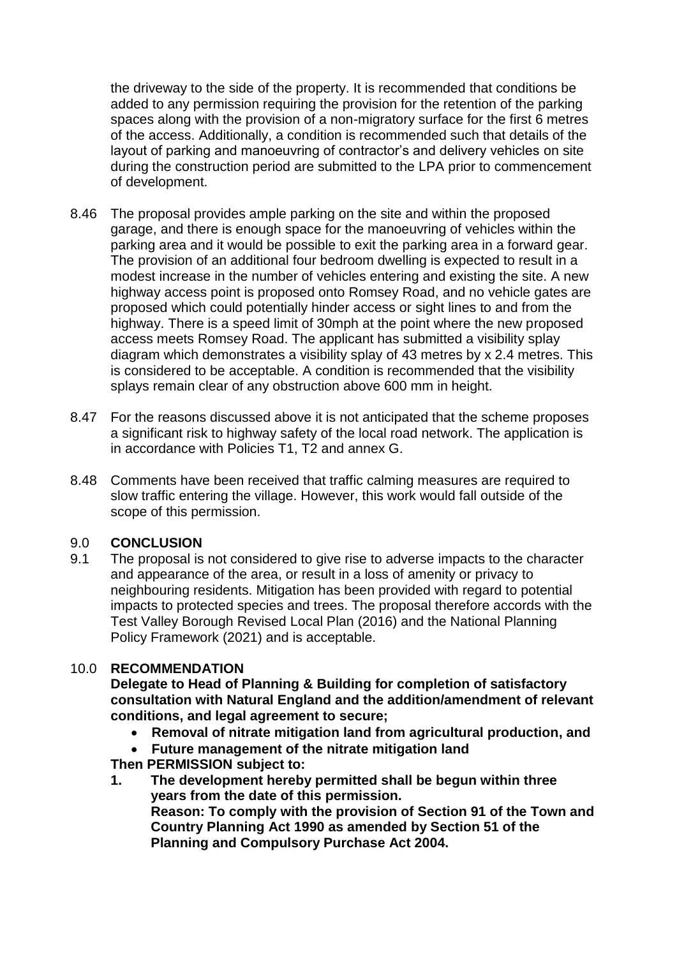the driveway to the side of the property. It is recommended that conditions be added to any permission requiring the provision for the retention of the parking spaces along with the provision of a non-migratory surface for the first 6 metres of the access. Additionally, a condition is recommended such that details of the layout of parking and manoeuvring of contractor's and delivery vehicles on site during the construction period are submitted to the LPA prior to commencement of development.

- 8.46 The proposal provides ample parking on the site and within the proposed garage, and there is enough space for the manoeuvring of vehicles within the parking area and it would be possible to exit the parking area in a forward gear. The provision of an additional four bedroom dwelling is expected to result in a modest increase in the number of vehicles entering and existing the site. A new highway access point is proposed onto Romsey Road, and no vehicle gates are proposed which could potentially hinder access or sight lines to and from the highway. There is a speed limit of 30mph at the point where the new proposed access meets Romsey Road. The applicant has submitted a visibility splay diagram which demonstrates a visibility splay of 43 metres by x 2.4 metres. This is considered to be acceptable. A condition is recommended that the visibility splays remain clear of any obstruction above 600 mm in height.
- 8.47 For the reasons discussed above it is not anticipated that the scheme proposes a significant risk to highway safety of the local road network. The application is in accordance with Policies T1, T2 and annex G.
- 8.48 Comments have been received that traffic calming measures are required to slow traffic entering the village. However, this work would fall outside of the scope of this permission.

#### 9.0 **CONCLUSION**

9.1 The proposal is not considered to give rise to adverse impacts to the character and appearance of the area, or result in a loss of amenity or privacy to neighbouring residents. Mitigation has been provided with regard to potential impacts to protected species and trees. The proposal therefore accords with the Test Valley Borough Revised Local Plan (2016) and the National Planning Policy Framework (2021) and is acceptable.

#### 10.0 **RECOMMENDATION**

**Delegate to Head of Planning & Building for completion of satisfactory consultation with Natural England and the addition/amendment of relevant conditions, and legal agreement to secure;**

- **Removal of nitrate mitigation land from agricultural production, and**
- **Future management of the nitrate mitigation land**

**Then PERMISSION subject to:**

**1. The development hereby permitted shall be begun within three years from the date of this permission. Reason: To comply with the provision of Section 91 of the Town and Country Planning Act 1990 as amended by Section 51 of the Planning and Compulsory Purchase Act 2004.**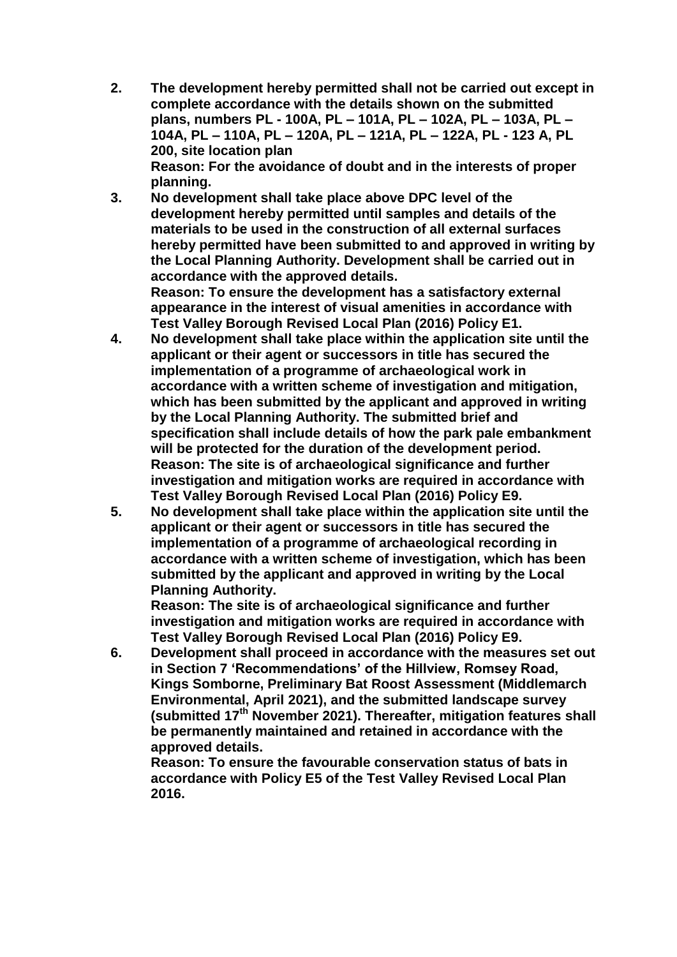- **2. The development hereby permitted shall not be carried out except in complete accordance with the details shown on the submitted plans, numbers PL - 100A, PL – 101A, PL – 102A, PL – 103A, PL – 104A, PL – 110A, PL – 120A, PL – 121A, PL – 122A, PL - 123 A, PL 200, site location plan Reason: For the avoidance of doubt and in the interests of proper planning.**
- **3. No development shall take place above DPC level of the development hereby permitted until samples and details of the materials to be used in the construction of all external surfaces hereby permitted have been submitted to and approved in writing by the Local Planning Authority. Development shall be carried out in accordance with the approved details. Reason: To ensure the development has a satisfactory external**

**appearance in the interest of visual amenities in accordance with Test Valley Borough Revised Local Plan (2016) Policy E1.**

- **4. No development shall take place within the application site until the applicant or their agent or successors in title has secured the implementation of a programme of archaeological work in accordance with a written scheme of investigation and mitigation, which has been submitted by the applicant and approved in writing by the Local Planning Authority. The submitted brief and specification shall include details of how the park pale embankment will be protected for the duration of the development period. Reason: The site is of archaeological significance and further investigation and mitigation works are required in accordance with Test Valley Borough Revised Local Plan (2016) Policy E9.**
- **5. No development shall take place within the application site until the applicant or their agent or successors in title has secured the implementation of a programme of archaeological recording in accordance with a written scheme of investigation, which has been submitted by the applicant and approved in writing by the Local Planning Authority.**

**Reason: The site is of archaeological significance and further investigation and mitigation works are required in accordance with Test Valley Borough Revised Local Plan (2016) Policy E9.**

**6. Development shall proceed in accordance with the measures set out in Section 7 'Recommendations' of the Hillview, Romsey Road, Kings Somborne, Preliminary Bat Roost Assessment (Middlemarch Environmental, April 2021), and the submitted landscape survey (submitted 17th November 2021). Thereafter, mitigation features shall be permanently maintained and retained in accordance with the approved details.** 

**Reason: To ensure the favourable conservation status of bats in accordance with Policy E5 of the Test Valley Revised Local Plan 2016.**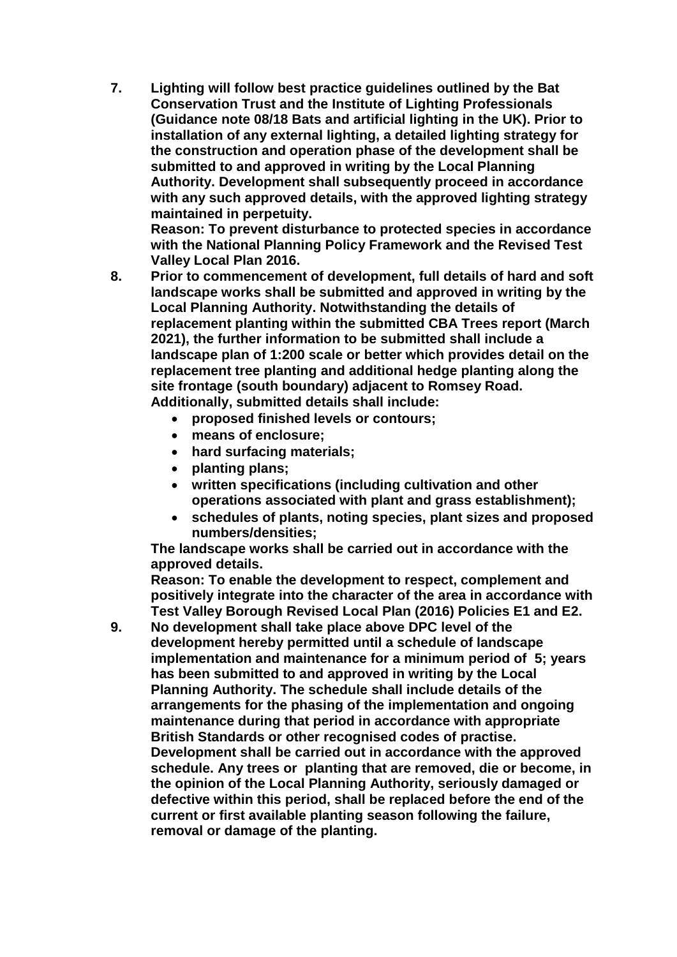**7. Lighting will follow best practice guidelines outlined by the Bat Conservation Trust and the Institute of Lighting Professionals (Guidance note 08/18 Bats and artificial lighting in the UK). Prior to installation of any external lighting, a detailed lighting strategy for the construction and operation phase of the development shall be submitted to and approved in writing by the Local Planning Authority. Development shall subsequently proceed in accordance with any such approved details, with the approved lighting strategy maintained in perpetuity.**

**Reason: To prevent disturbance to protected species in accordance with the National Planning Policy Framework and the Revised Test Valley Local Plan 2016.**

- **8. Prior to commencement of development, full details of hard and soft landscape works shall be submitted and approved in writing by the Local Planning Authority. Notwithstanding the details of replacement planting within the submitted CBA Trees report (March 2021), the further information to be submitted shall include a landscape plan of 1:200 scale or better which provides detail on the replacement tree planting and additional hedge planting along the site frontage (south boundary) adjacent to Romsey Road. Additionally, submitted details shall include:** 
	- **proposed finished levels or contours;**
	- **means of enclosure;**
	- **hard surfacing materials;**
	- **planting plans;**
	- **written specifications (including cultivation and other operations associated with plant and grass establishment);**
	- **schedules of plants, noting species, plant sizes and proposed numbers/densities;**

**The landscape works shall be carried out in accordance with the approved details.**

**Reason: To enable the development to respect, complement and positively integrate into the character of the area in accordance with Test Valley Borough Revised Local Plan (2016) Policies E1 and E2.**

**9. No development shall take place above DPC level of the development hereby permitted until a schedule of landscape implementation and maintenance for a minimum period of 5; years has been submitted to and approved in writing by the Local Planning Authority. The schedule shall include details of the arrangements for the phasing of the implementation and ongoing maintenance during that period in accordance with appropriate British Standards or other recognised codes of practise. Development shall be carried out in accordance with the approved schedule. Any trees or planting that are removed, die or become, in the opinion of the Local Planning Authority, seriously damaged or defective within this period, shall be replaced before the end of the current or first available planting season following the failure, removal or damage of the planting.**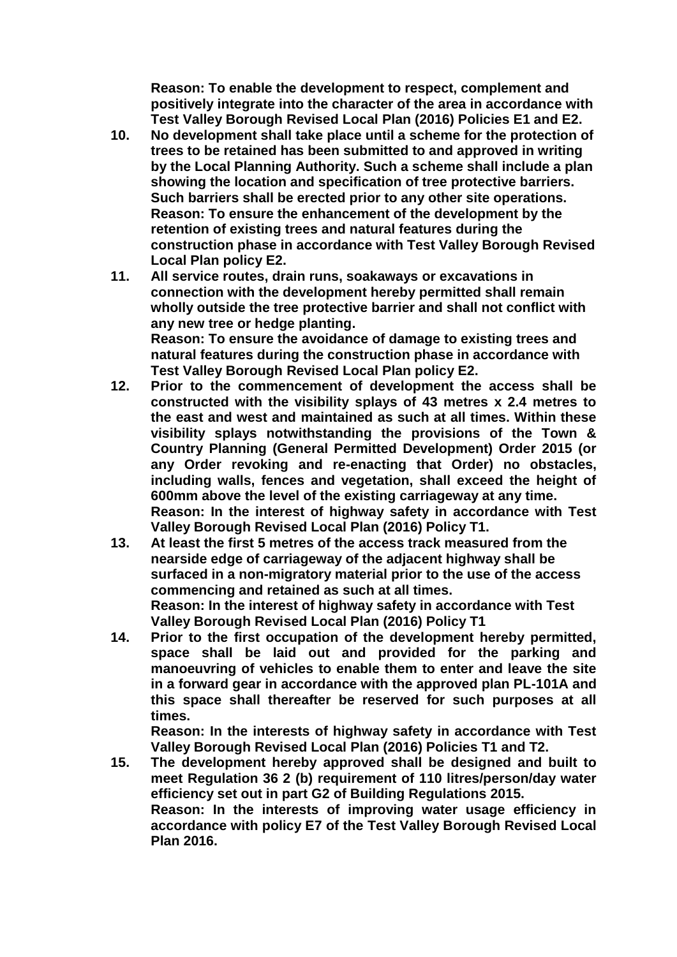**Reason: To enable the development to respect, complement and positively integrate into the character of the area in accordance with Test Valley Borough Revised Local Plan (2016) Policies E1 and E2.**

- **10. No development shall take place until a scheme for the protection of trees to be retained has been submitted to and approved in writing by the Local Planning Authority. Such a scheme shall include a plan showing the location and specification of tree protective barriers. Such barriers shall be erected prior to any other site operations. Reason: To ensure the enhancement of the development by the retention of existing trees and natural features during the construction phase in accordance with Test Valley Borough Revised Local Plan policy E2.**
- **11. All service routes, drain runs, soakaways or excavations in connection with the development hereby permitted shall remain wholly outside the tree protective barrier and shall not conflict with any new tree or hedge planting. Reason: To ensure the avoidance of damage to existing trees and natural features during the construction phase in accordance with Test Valley Borough Revised Local Plan policy E2.**
- **12. Prior to the commencement of development the access shall be constructed with the visibility splays of 43 metres x 2.4 metres to the east and west and maintained as such at all times. Within these visibility splays notwithstanding the provisions of the Town & Country Planning (General Permitted Development) Order 2015 (or any Order revoking and re-enacting that Order) no obstacles, including walls, fences and vegetation, shall exceed the height of 600mm above the level of the existing carriageway at any time. Reason: In the interest of highway safety in accordance with Test Valley Borough Revised Local Plan (2016) Policy T1.**
- **13. At least the first 5 metres of the access track measured from the nearside edge of carriageway of the adjacent highway shall be surfaced in a non-migratory material prior to the use of the access commencing and retained as such at all times. Reason: In the interest of highway safety in accordance with Test Valley Borough Revised Local Plan (2016) Policy T1**
- **14. Prior to the first occupation of the development hereby permitted, space shall be laid out and provided for the parking and manoeuvring of vehicles to enable them to enter and leave the site in a forward gear in accordance with the approved plan PL-101A and this space shall thereafter be reserved for such purposes at all times.**

**Reason: In the interests of highway safety in accordance with Test Valley Borough Revised Local Plan (2016) Policies T1 and T2.**

**15. The development hereby approved shall be designed and built to meet Regulation 36 2 (b) requirement of 110 litres/person/day water efficiency set out in part G2 of Building Regulations 2015. Reason: In the interests of improving water usage efficiency in accordance with policy E7 of the Test Valley Borough Revised Local Plan 2016.**